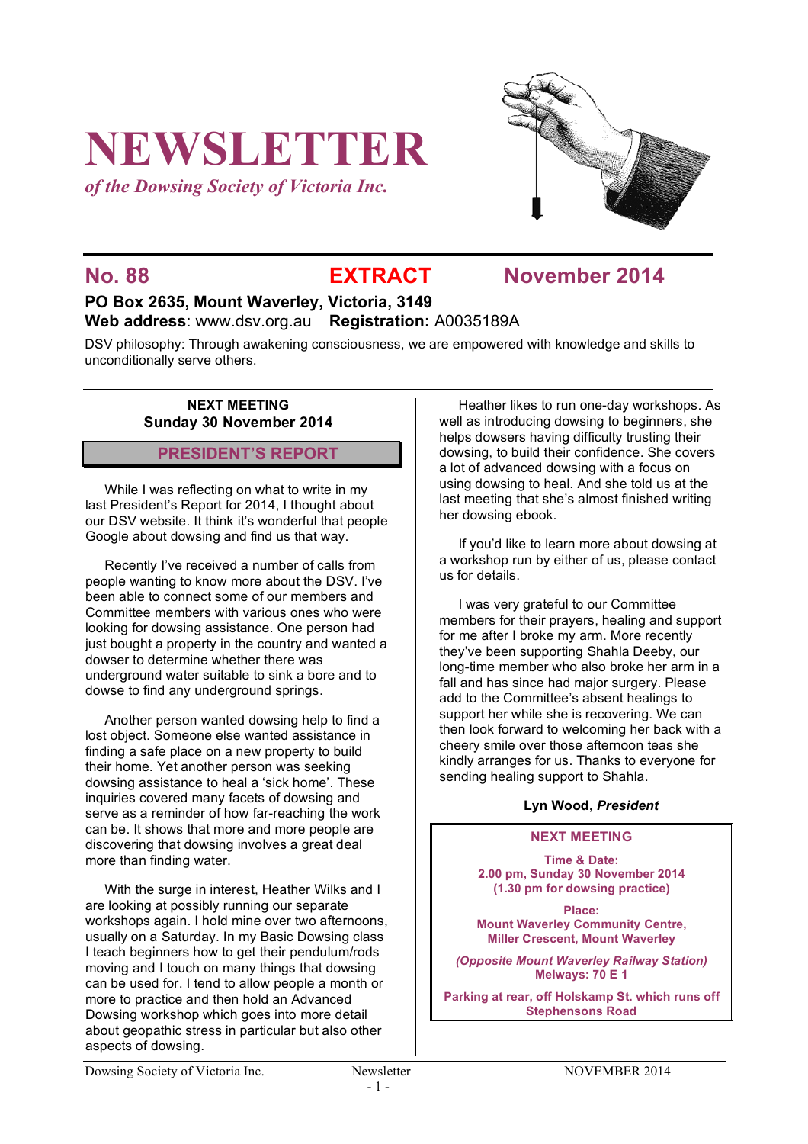# **NEWSLETTER**

*of the Dowsing Society of Victoria Inc.*



# **No. 88 EXTRACT November 2014**

## **PO Box 2635, Mount Waverley, Victoria, 3149 Web address**: www.dsv.org.au **Registration:** A0035189A

DSV philosophy: Through awakening consciousness, we are empowered with knowledge and skills to unconditionally serve others.

#### **NEXT MEETING Sunday 30 November 2014**

#### **PRESIDENT'S REPORT**

While I was reflecting on what to write in my last President's Report for 2014, I thought about our DSV website. It think it's wonderful that people Google about dowsing and find us that way.

Recently I've received a number of calls from people wanting to know more about the DSV. I've been able to connect some of our members and Committee members with various ones who were looking for dowsing assistance. One person had just bought a property in the country and wanted a dowser to determine whether there was underground water suitable to sink a bore and to dowse to find any underground springs.

Another person wanted dowsing help to find a lost object. Someone else wanted assistance in finding a safe place on a new property to build their home. Yet another person was seeking dowsing assistance to heal a 'sick home'. These inquiries covered many facets of dowsing and serve as a reminder of how far-reaching the work can be. It shows that more and more people are discovering that dowsing involves a great deal more than finding water.

With the surge in interest, Heather Wilks and I are looking at possibly running our separate workshops again. I hold mine over two afternoons, usually on a Saturday. In my Basic Dowsing class I teach beginners how to get their pendulum/rods moving and I touch on many things that dowsing can be used for. I tend to allow people a month or more to practice and then hold an Advanced Dowsing workshop which goes into more detail about geopathic stress in particular but also other aspects of dowsing.

Heather likes to run one-day workshops. As well as introducing dowsing to beginners, she helps dowsers having difficulty trusting their dowsing, to build their confidence. She covers a lot of advanced dowsing with a focus on using dowsing to heal. And she told us at the last meeting that she's almost finished writing her dowsing ebook.

If you'd like to learn more about dowsing at a workshop run by either of us, please contact us for details.

I was very grateful to our Committee members for their prayers, healing and support for me after I broke my arm. More recently they've been supporting Shahla Deeby, our long-time member who also broke her arm in a fall and has since had major surgery. Please add to the Committee's absent healings to support her while she is recovering. We can then look forward to welcoming her back with a cheery smile over those afternoon teas she kindly arranges for us. Thanks to everyone for sending healing support to Shahla.

#### **Lyn Wood,** *President*

#### **NEXT MEETING**

**Time & Date: 2.00 pm, Sunday 30 November 2014 (1.30 pm for dowsing practice)**

**Place: Mount Waverley Community Centre, Miller Crescent, Mount Waverley**

*(Opposite Mount Waverley Railway Station)* **Melways: 70 E 1**

**Parking at rear, off Holskamp St. which runs off Stephensons Road**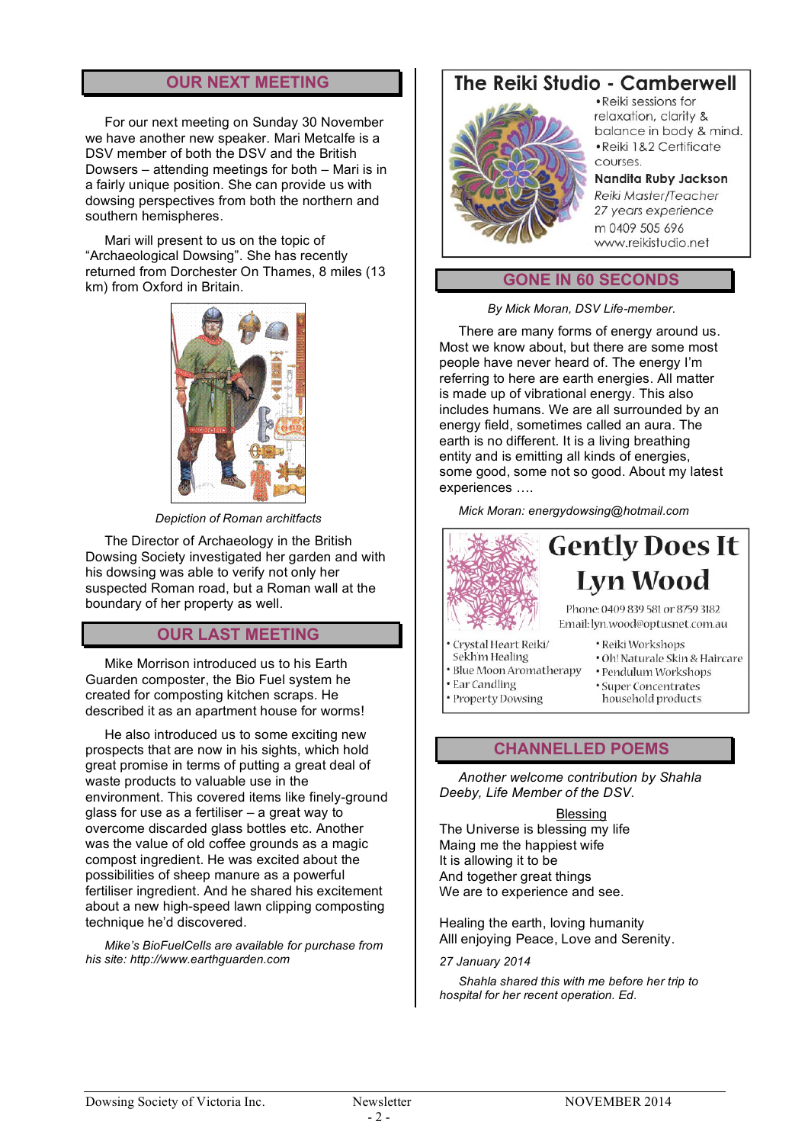#### **OUR NEXT MEETING**

For our next meeting on Sunday 30 November we have another new speaker. Mari Metcalfe is a DSV member of both the DSV and the British Dowsers – attending meetings for both – Mari is in a fairly unique position. She can provide us with dowsing perspectives from both the northern and southern hemispheres.

Mari will present to us on the topic of "Archaeological Dowsing". She has recently returned from Dorchester On Thames, 8 miles (13 km) from Oxford in Britain.



*Depiction of Roman architfacts*

The Director of Archaeology in the British Dowsing Society investigated her garden and with his dowsing was able to verify not only her suspected Roman road, but a Roman wall at the boundary of her property as well.

## **OUR LAST MEETING**

Mike Morrison introduced us to his Earth Guarden composter, the Bio Fuel system he created for composting kitchen scraps. He described it as an apartment house for worms!

He also introduced us to some exciting new prospects that are now in his sights, which hold great promise in terms of putting a great deal of waste products to valuable use in the environment. This covered items like finely-ground glass for use as a fertiliser – a great way to overcome discarded glass bottles etc. Another was the value of old coffee grounds as a magic compost ingredient. He was excited about the possibilities of sheep manure as a powerful fertiliser ingredient. And he shared his excitement about a new high-speed lawn clipping composting technique he'd discovered.

*Mike's BioFuelCells are available for purchase from his site: http://www.earthguarden.com*

# The Reiki Studio - Camberwell



· Reiki sessions for relaxation, clarity & balance in body & mind. · Reiki 1&2 Certificate courses.

Nandita Ruby Jackson Reiki Master/Teacher 27 years experience m 0409 505 696 www.reikistudio.net

#### **GONE IN 60 SECONDS**

*By Mick Moran, DSV Life-member.*

There are many forms of energy around us. Most we know about, but there are some most people have never heard of. The energy I'm referring to here are earth energies. All matter is made up of vibrational energy. This also includes humans. We are all surrounded by an energy field, sometimes called an aura. The earth is no different. It is a living breathing entity and is emitting all kinds of energies, some good, some not so good. About my latest experiences ….

*Mick Moran: energydowsing@hotmail.com*



- Property Dowsing
- - household products

#### **CHANNELLED POEMS**

*Another welcome contribution by Shahla Deeby, Life Member of the DSV.* 

#### Blessing

The Universe is blessing my life Maing me the happiest wife It is allowing it to be And together great things We are to experience and see.

Healing the earth, loving humanity Alll enjoying Peace, Love and Serenity.

#### *27 January 2014*

*Shahla shared this with me before her trip to hospital for her recent operation. Ed.*